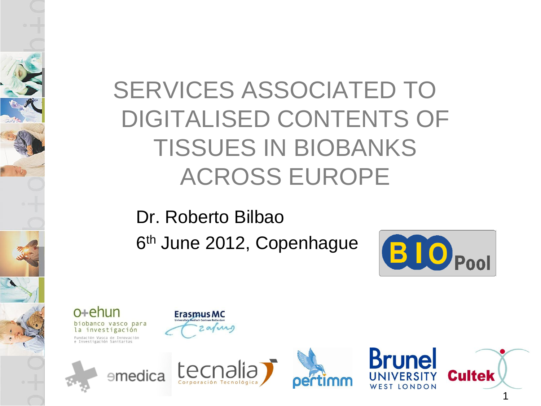### SERVICES ASSOCIATED TO DIGITALISED CONTENTS OF TISSUES IN BIOBANKS ACROSS EUROPE

Dr. Roberto Bilbao 6<sup>th</sup> June 2012, Copenhague









arin

**ErasmusMC** 



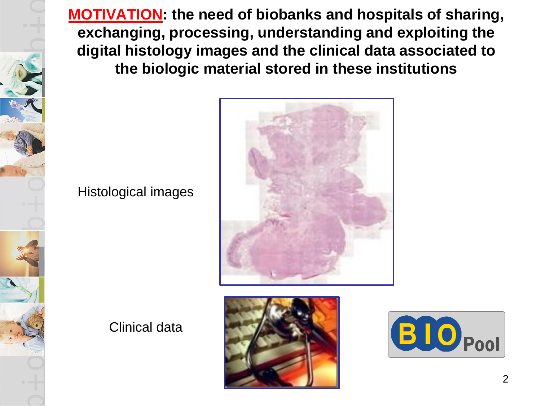**MOTIVATION: the need of biobanks and hospitals of sharing, exchanging, processing, understanding and exploiting the digital histology images and the clinical data associated to the biologic material stored in these institutions**

#### Histological images





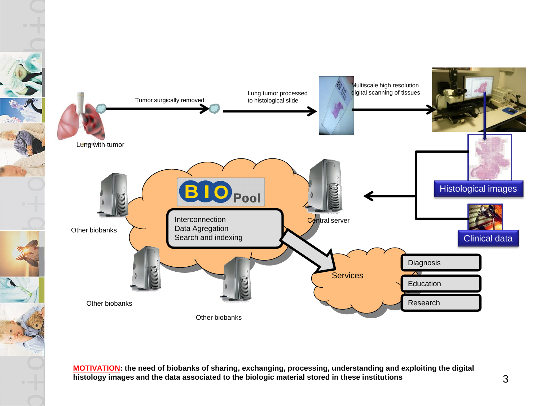

**MOTIVATION: the need of biobanks of sharing, exchanging, processing, understanding and exploiting the digital histology images and the data associated to the biologic material stored in these institutions**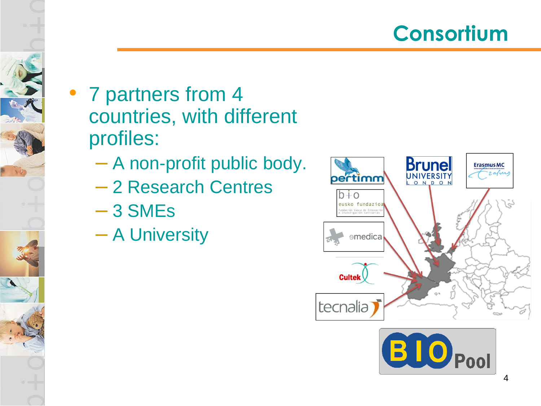

- 7 partners from 4 countries, with different profiles:
	- A non-profit public body.
	- 2 Research Centres
	- 3 SMEs
	- A University



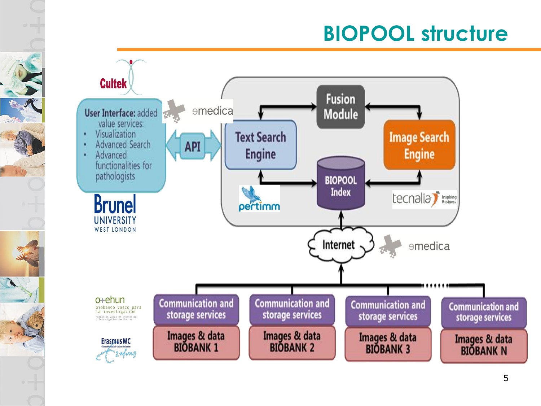### **BIOPOOL structure**



 $\mathbf{A}$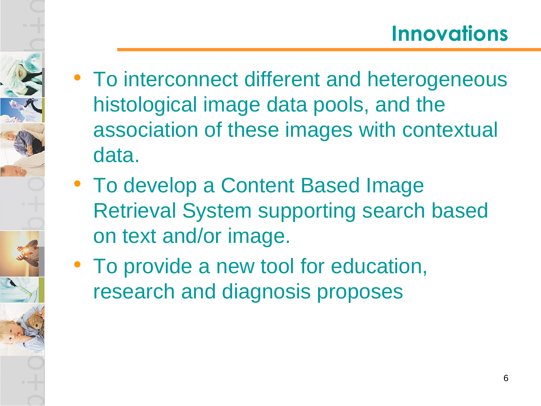- To interconnect different and heterogeneous histological image data pools, and the association of these images with contextual data.
- To develop a Content Based Image Retrieval System supporting search based on text and/or image.
- To provide a new tool for education, research and diagnosis proposes